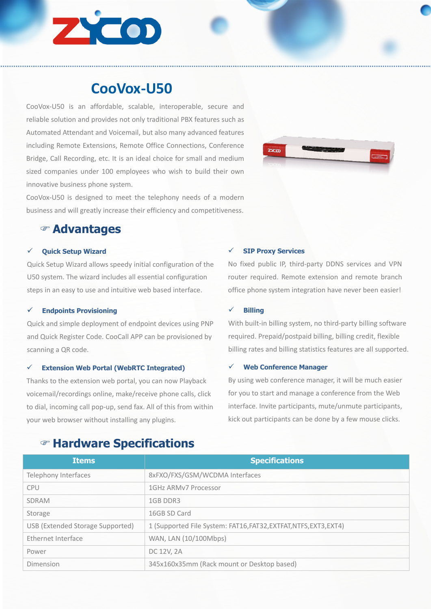

# **CooVox-U50**

CooVox-U50 is an affordable, scalable, interoperable, secure and reliable solution and provides not only traditional PBX features such as Automated Attendant and Voicemail, but also many advanced features including Remote Extensions, Remote Office Connections, Conference Bridge, Call Recording, etc. It is an ideal choice for small and medium sized companies under 100 employees who wish to build their own innovative business phone system.

CooVox-U50 is designed to meet the telephony needs of a modern business and will greatly increase their efficiency and competitiveness.



# F **Advantages**

### ü **Quick Setup Wizard**

Quick Setup Wizard allows speedy initial configuration of the U50 system. The wizard includes all essential configuration steps in an easy to use and intuitive web based interface.

#### ü **Endpoints Provisioning**

Quick and simple deployment of endpoint devices using PNP and Quick Register Code. CooCall APP can be provisioned by scanning a QR code.

## ü **Extension Web Portal (WebRTC Integrated)**

Thanks to the extension web portal, you can now Playback voicemail/recordings online, make/receive phone calls, click to dial, incoming call pop-up, send fax. All of this from within your web browser without installing any plugins.

## ü **SIP Proxy Services**

No fixed public IP, third-party DDNS services and VPN router required. Remote extension and remote branch office phone system integration have never been easier!

#### ü **Billing**

With built-in billing system, no third-party billing software required. Prepaid/postpaid billing, billing credit, flexible billing rates and billing statistics features are all supported.

### ü **Web Conference Manager**

By using web conference manager, it will be much easier for you to start and manage a conference from the Web interface. Invite participants, mute/unmute participants, kick out participants can be done by a few mouse clicks.

| <b>Items</b>                     | <b>Specifications</b>                                             |
|----------------------------------|-------------------------------------------------------------------|
| Telephony Interfaces             | 8xFXO/FXS/GSM/WCDMA Interfaces                                    |
| <b>CPU</b>                       | 1GHz ARMv7 Processor                                              |
| <b>SDRAM</b>                     | 1GB DDR3                                                          |
| Storage                          | 16GB SD Card                                                      |
| USB (Extended Storage Supported) | 1 (Supported File System: FAT16, FAT32, EXTFAT, NTFS, EXT3, EXT4) |
| Ethernet Interface               | WAN, LAN (10/100Mbps)                                             |
| Power                            | DC 12V, 2A                                                        |
| Dimension                        | 345x160x35mm (Rack mount or Desktop based)                        |

# F **Hardware Specifications**